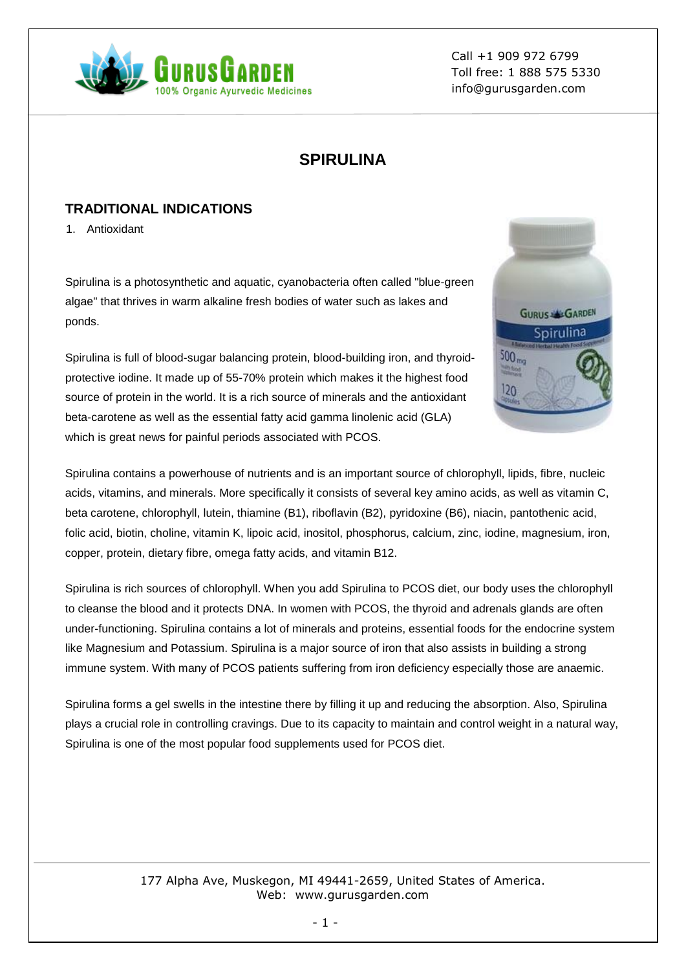

Call +1 909 972 6799 Toll free: 1 888 575 5330 info@gurusgarden.com

# **SPIRULINA**

## **TRADITIONAL INDICATIONS**

1. Antioxidant

Spirulina is a photosynthetic and aquatic, cyanobacteria often called "blue-green algae" that thrives in warm alkaline fresh bodies of water such as lakes and ponds.

Spirulina is full of blood-sugar balancing protein, blood-building iron, and thyroidprotective iodine. It made up of 55-70% protein which makes it the highest food source of protein in the world. It is a rich source of minerals and the antioxidant beta-carotene as well as the essential fatty acid gamma linolenic acid (GLA) which is great news for painful periods associated with PCOS.



Spirulina contains a powerhouse of nutrients and is an important source of chlorophyll, lipids, fibre, nucleic acids, vitamins, and minerals. More specifically it consists of several key amino acids, as well as vitamin C, beta carotene, chlorophyll, lutein, thiamine (B1), riboflavin (B2), pyridoxine (B6), niacin, pantothenic acid, folic acid, biotin, choline, vitamin K, lipoic acid, inositol, phosphorus, calcium, zinc, iodine, magnesium, iron, copper, protein, dietary fibre, omega fatty acids, and vitamin B12.

Spirulina is rich sources of chlorophyll. When you add Spirulina to PCOS diet, our body uses the chlorophyll to cleanse the blood and it protects DNA. In women with PCOS, the thyroid and adrenals glands are often under-functioning. Spirulina contains a lot of minerals and proteins, essential foods for the endocrine system like Magnesium and Potassium. Spirulina is a major source of iron that also assists in building a strong immune system. With many of PCOS patients suffering from iron deficiency especially those are anaemic.

Spirulina forms a gel swells in the intestine there by filling it up and reducing the absorption. Also, Spirulina plays a crucial role in controlling cravings. Due to its capacity to maintain and control weight in a natural way, Spirulina is one of the most popular food supplements used for PCOS diet.

#### 177 Alpha Ave, Muskegon, MI 49441-2659, United States of America. Web: www.gurusgarden.com